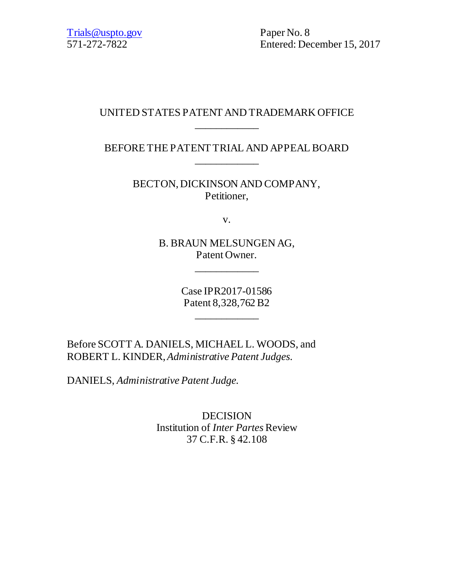571-272-7822 Entered: December 15, 2017

# UNITED STATES PATENT AND TRADEMARK OFFICE \_\_\_\_\_\_\_\_\_\_\_\_

BEFORE THE PATENT TRIAL AND APPEAL BOARD \_\_\_\_\_\_\_\_\_\_\_\_

> BECTON, DICKINSON AND COMPANY, Petitioner,

> > v.

B. BRAUN MELSUNGEN AG, Patent Owner.

\_\_\_\_\_\_\_\_\_\_\_\_

Case IPR2017-01586 Patent 8,328,762 B2

\_\_\_\_\_\_\_\_\_\_\_\_

Before SCOTT A. DANIELS, MICHAEL L. WOODS, and ROBERT L. KINDER, *Administrative Patent Judges.*

DANIELS, *Administrative Patent Judge.*

DECISION Institution of *Inter Partes* Review 37 C.F.R. § 42.108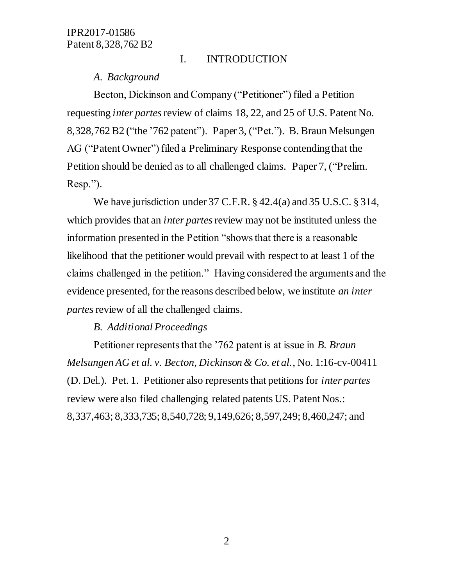#### I. INTRODUCTION

#### *A. Background*

Becton, Dickinson and Company ("Petitioner") filed a Petition requesting *inter partes*review of claims 18, 22, and 25 of U.S. Patent No. 8,328,762 B2 ("the '762 patent"). Paper 3, ("Pet."). B. Braun Melsungen AG ("Patent Owner") filed a Preliminary Response contending that the Petition should be denied as to all challenged claims. Paper 7, ("Prelim. Resp.").

We have jurisdiction under 37 C.F.R. § 42.4(a) and 35 U.S.C. § 314, which provides that an *inter partes* review may not be instituted unless the information presented in the Petition "shows that there is a reasonable likelihood that the petitioner would prevail with respect to at least 1 of the claims challenged in the petition." Having considered the arguments and the evidence presented, for the reasons described below, we institute *an inter partes*review of all the challenged claims.

#### *B. Additional Proceedings*

Petitioner represents that the '762 patent is at issue in *B. Braun Melsungen AG et al. v. Becton, Dickinson & Co. et al.*, No. 1:16-cv-00411 (D. Del.). Pet. 1. Petitioner also represents that petitions for *inter partes* review were also filed challenging related patents US. Patent Nos.: 8,337,463; 8,333,735; 8,540,728; 9,149,626; 8,597,249; 8,460,247; and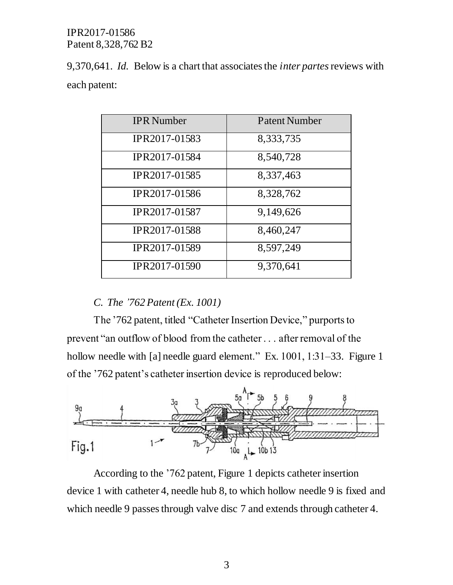9,370,641. *Id.* Below is a chart that associates the *inter partes*reviews with each patent:

| <b>IPR</b> Number    | <b>Patent Number</b> |  |
|----------------------|----------------------|--|
| IPR2017-01583        | 8,333,735            |  |
| IPR2017-01584        | 8,540,728            |  |
| <b>IPR2017-01585</b> | 8,337,463            |  |
| IPR2017-01586        | 8,328,762            |  |
| <b>IPR2017-01587</b> | 9,149,626            |  |
| IPR2017-01588        | 8,460,247            |  |
| IPR2017-01589        | 8,597,249            |  |
| IPR2017-01590        | 9,370,641            |  |

# *C. The '762 Patent (Ex. 1001)*

The '762 patent, titled "Catheter Insertion Device," purports to prevent "an outflow of blood from the catheter . . . after removal of the hollow needle with [a] needle guard element." Ex. 1001, 1:31–33. Figure 1 of the '762 patent's catheter insertion device is reproduced below:



According to the '762 patent, Figure 1 depicts catheter insertion device 1 with catheter 4, needle hub 8, to which hollow needle 9 is fixed and which needle 9 passes through valve disc 7 and extends through catheter 4.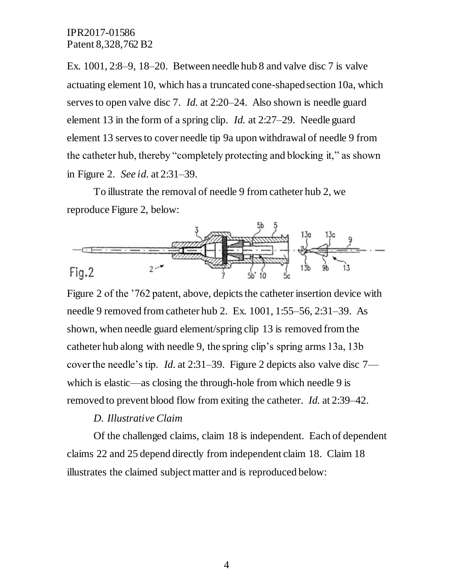Ex. 1001, 2:8–9, 18–20. Between needle hub 8 and valve disc 7 is valve actuating element 10, which has a truncated cone-shaped section 10a, which serves to open valve disc 7. *Id.* at 2:20–24. Also shown is needle guard element 13 in the form of a spring clip. *Id.* at 2:27–29. Needle guard element 13 serves to cover needle tip 9a upon withdrawal of needle 9 from the catheter hub, thereby "completely protecting and blocking it," as shown in Figure 2. *See id.* at 2:31–39.

To illustrate the removal of needle 9 from catheter hub 2, we reproduce Figure 2, below:



Figure 2 of the '762 patent, above, depicts the catheter insertion device with needle 9 removed from catheter hub 2. Ex. 1001, 1:55–56, 2:31–39. As shown, when needle guard element/spring clip 13 is removed from the catheter hub along with needle 9, the spring clip's spring arms 13a, 13b cover the needle's tip. *Id.* at 2:31–39. Figure 2 depicts also valve disc 7 which is elastic—as closing the through-hole from which needle 9 is removed to prevent blood flow from exiting the catheter. *Id.* at 2:39–42.

## *D. Illustrative Claim*

Of the challenged claims, claim 18 is independent. Each of dependent claims 22 and 25 depend directly from independent claim 18. Claim 18 illustrates the claimed subject matter and is reproduced below: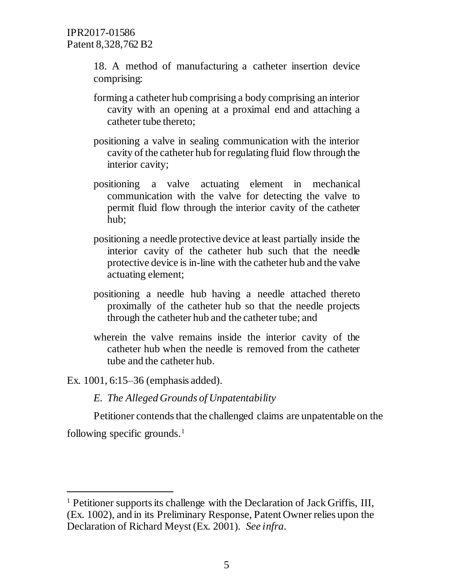18. A method of manufacturing a catheter insertion device comprising:

- forming a catheter hub comprising a body comprising an interior cavity with an opening at a proximal end and attaching a catheter tube thereto;
- positioning a valve in sealing communication with the interior cavity of the catheter hub for regulating fluid flow through the interior cavity;
- positioning a valve actuating element in mechanical communication with the valve for detecting the valve to permit fluid flow through the interior cavity of the catheter hub;
- positioning a needle protective device at least partially inside the interior cavity of the catheter hub such that the needle protective device is in-line with the catheter hub and the valve actuating element;
- positioning a needle hub having a needle attached thereto proximally of the catheter hub so that the needle projects through the catheter hub and the catheter tube; and
- wherein the valve remains inside the interior cavity of the catheter hub when the needle is removed from the catheter tube and the catheter hub.

Ex. 1001, 6:15–36 (emphasis added).

*E. The Alleged Grounds of Unpatentability*

Petitioner contends that the challenged claims are unpatentable on the

following specific grounds.<sup>1</sup>

 $\overline{a}$ 

<sup>1</sup> Petitioner supports its challenge with the Declaration of Jack Griffis, III, (Ex. 1002), and in its Preliminary Response, Patent Owner relies upon the Declaration of Richard Meyst (Ex. 2001). *See infra*.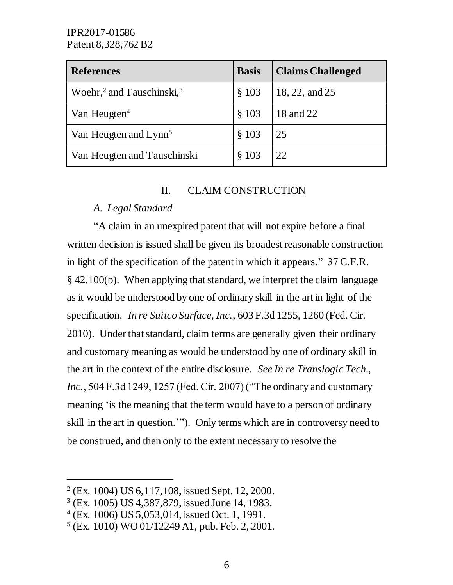| <b>References</b>                        | <b>Basis</b> | <b>Claims Challenged</b> |
|------------------------------------------|--------------|--------------------------|
| Woehr, <sup>2</sup> and Tauschinski, $3$ | \$103        | 18, 22, and 25           |
| Van Heugten <sup>4</sup>                 | § 103        | 18 and 22                |
| Van Heugten and Lynn <sup>5</sup>        | § 103        | 25                       |
| Van Heugten and Tauschinski              | § 103        | 22                       |

## II. CLAIM CONSTRUCTION

# *A. Legal Standard*

"A claim in an unexpired patent that will not expire before a final written decision is issued shall be given its broadest reasonable construction in light of the specification of the patent in which it appears." 37 C.F.R. § 42.100(b). When applying that standard, we interpret the claim language as it would be understood by one of ordinary skill in the art in light of the specification. *In re Suitco Surface, Inc.*, 603 F.3d 1255, 1260 (Fed. Cir. 2010). Under that standard, claim terms are generally given their ordinary and customary meaning as would be understood by one of ordinary skill in the art in the context of the entire disclosure. *See In re Translogic Tech., Inc.*, 504 F.3d 1249, 1257 (Fed. Cir. 2007) ("The ordinary and customary meaning 'is the meaning that the term would have to a person of ordinary skill in the art in question.'"). Only terms which are in controversy need to be construed, and then only to the extent necessary to resolve the

 $\overline{a}$ 

<sup>2</sup> (Ex. 1004) US 6,117,108, issued Sept. 12, 2000.

<sup>3</sup> (Ex. 1005) US 4,387,879, issued June 14, 1983.

<sup>4</sup> (Ex. 1006) US 5,053,014, issued Oct. 1, 1991.

<sup>5</sup> (Ex. 1010) WO 01/12249 A1, pub. Feb. 2, 2001.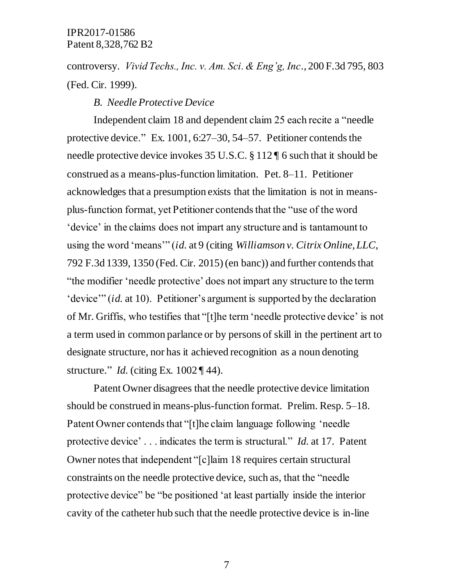controversy. *Vivid Techs., Inc. v. Am. Sci. & Eng'g, Inc*., 200 F.3d 795, 803 (Fed. Cir. 1999).

#### *B. Needle Protective Device*

Independent claim 18 and dependent claim 25 each recite a "needle protective device." Ex. 1001, 6:27–30, 54–57. Petitioner contends the needle protective device invokes 35 U.S.C. § 112 ¶ 6 such that it should be construed as a means-plus-function limitation. Pet. 8–11. Petitioner acknowledges that a presumption exists that the limitation is not in meansplus-function format, yet Petitioner contends that the "use of the word 'device' in the claims does not impart any structure and is tantamount to using the word 'means'" (*id.* at 9 (citing *Williamson v. Citrix Online, LLC*, 792 F.3d 1339, 1350 (Fed. Cir. 2015) (en banc)) and further contends that "the modifier 'needle protective' does not impart any structure to the term 'device'" (*id.* at 10). Petitioner's argument is supported by the declaration of Mr. Griffis, who testifies that "[t]he term 'needle protective device' is not a term used in common parlance or by persons of skill in the pertinent art to designate structure, nor has it achieved recognition as a noun denoting structure." *Id.* (citing Ex. 1002 ¶ 44).

Patent Owner disagrees that the needle protective device limitation should be construed in means-plus-function format. Prelim. Resp. 5–18. Patent Owner contends that "[t]he claim language following 'needle protective device' . . . indicates the term is structural." *Id.* at 17. Patent Owner notes that independent "[c]laim 18 requires certain structural constraints on the needle protective device, such as, that the "needle protective device" be "be positioned 'at least partially inside the interior cavity of the catheter hub such that the needle protective device is in-line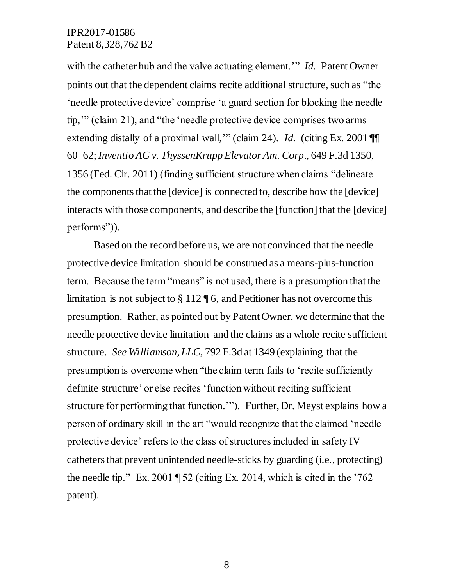with the catheter hub and the valve actuating element.'" *Id.* Patent Owner points out that the dependent claims recite additional structure, such as "the 'needle protective device' comprise 'a guard section for blocking the needle tip,'" (claim 21), and "the 'needle protective device comprises two arms extending distally of a proximal wall," (claim 24). *Id.* (citing Ex. 2001 ¶ 60–62; *Inventio AG v. ThyssenKrupp Elevator Am. Corp*., 649 F.3d 1350, 1356 (Fed. Cir. 2011) (finding sufficient structure when claims "delineate the components that the [device] is connected to, describe how the [device] interacts with those components, and describe the [function] that the [device] performs")).

Based on the record before us, we are not convinced that the needle protective device limitation should be construed as a means-plus-function term. Because the term "means" is not used, there is a presumption that the limitation is not subject to  $\S 112 \P 6$ , and Petitioner has not overcome this presumption. Rather, as pointed out by Patent Owner, we determine that the needle protective device limitation and the claims as a whole recite sufficient structure. *See Williamson, LLC*, 792 F.3d at 1349 (explaining that the presumption is overcome when "the claim term fails to 'recite sufficiently definite structure' or else recites 'function without reciting sufficient structure for performing that function.'"). Further, Dr. Meyst explains how a person of ordinary skill in the art "would recognize that the claimed 'needle protective device' refers to the class of structures included in safety IV catheters that prevent unintended needle-sticks by guarding (i.e., protecting) the needle tip." Ex. 2001  $\sqrt{52}$  (citing Ex. 2014, which is cited in the '762 patent).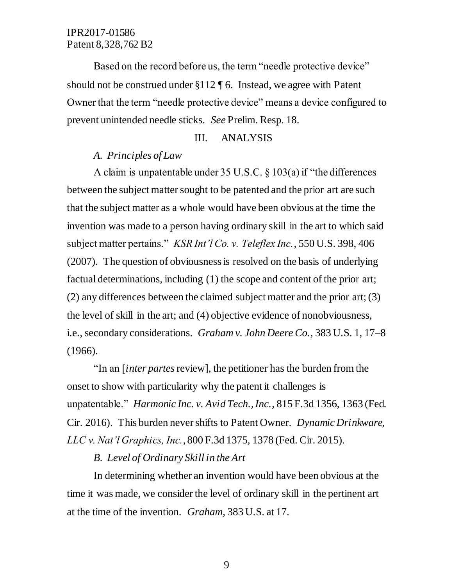Based on the record before us, the term "needle protective device" should not be construed under §112 ¶ 6. Instead, we agree with Patent Owner that the term "needle protective device" means a device configured to prevent unintended needle sticks. *See* Prelim. Resp. 18.

#### III. ANALYSIS

# *A. Principles of Law*

A claim is unpatentable under 35 U.S.C. § 103(a) if "the differences between the subject matter sought to be patented and the prior art are such that the subject matter as a whole would have been obvious at the time the invention was made to a person having ordinary skill in the art to which said subject matter pertains." *KSR Int'l Co. v. Teleflex Inc.*, 550 U.S. 398, 406 (2007). The question of obviousness is resolved on the basis of underlying factual determinations, including (1) the scope and content of the prior art; (2) any differences between the claimed subject matter and the prior art; (3) the level of skill in the art; and (4) objective evidence of nonobviousness, i.e., secondary considerations. *Graham v. John Deere Co.*, 383 U.S. 1, 17–8 (1966).

"In an [*inter partes*review], the petitioner has the burden from the onset to show with particularity why the patent it challenges is unpatentable." *Harmonic Inc. v. Avid Tech., Inc.*, 815 F.3d 1356, 1363 (Fed. Cir. 2016). This burden never shifts to Patent Owner. *Dynamic Drinkware, LLC v. Nat'l Graphics, Inc.*, 800 F.3d 1375, 1378 (Fed. Cir. 2015).

#### *B. Level of Ordinary Skill in the Art*

In determining whether an invention would have been obvious at the time it was made, we consider the level of ordinary skill in the pertinent art at the time of the invention. *Graham*, 383 U.S. at 17.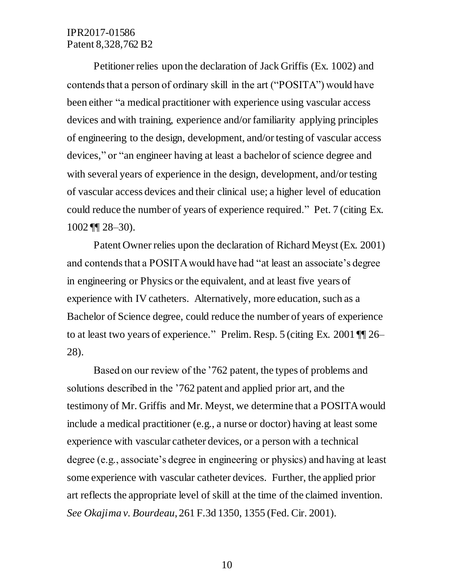Petitioner relies upon the declaration of Jack Griffis (Ex. 1002) and contends that a person of ordinary skill in the art ("POSITA") would have been either "a medical practitioner with experience using vascular access devices and with training, experience and/or familiarity applying principles of engineering to the design, development, and/or testing of vascular access devices," or "an engineer having at least a bachelor of science degree and with several years of experience in the design, development, and/or testing of vascular access devices and their clinical use; a higher level of education could reduce the number of years of experience required." Pet. 7 (citing Ex.  $1002$  ¶  $28-30$ ).

Patent Owner relies upon the declaration of Richard Meyst (Ex. 2001) and contends that a POSITA would have had "at least an associate's degree in engineering or Physics or the equivalent, and at least five years of experience with IV catheters. Alternatively, more education, such as a Bachelor of Science degree, could reduce the number of years of experience to at least two years of experience." Prelim. Resp. 5 (citing Ex. 2001 ¶¶ 26– 28).

Based on our review of the '762 patent, the types of problems and solutions described in the '762 patent and applied prior art, and the testimony of Mr. Griffis and Mr. Meyst, we determine that a POSITA would include a medical practitioner (e.g., a nurse or doctor) having at least some experience with vascular catheter devices, or a person with a technical degree (e.g., associate's degree in engineering or physics) and having at least some experience with vascular catheter devices. Further, the applied prior art reflects the appropriate level of skill at the time of the claimed invention. *See Okajima v. Bourdeau*, 261 F.3d 1350, 1355 (Fed. Cir. 2001).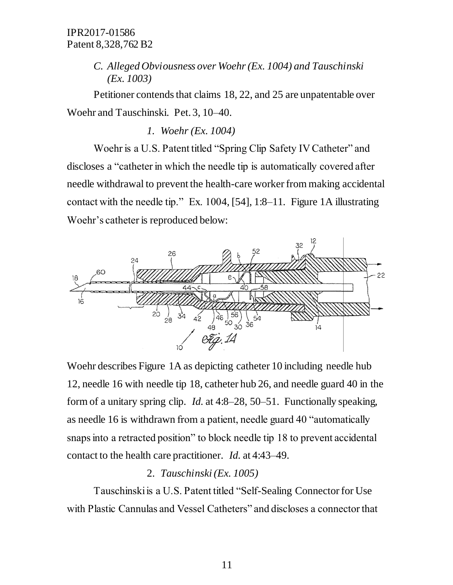# *C. Alleged Obviousness over Woehr(Ex. 1004) and Tauschinski (Ex. 1003)*

Petitioner contends that claims 18, 22, and 25 are unpatentable over Woehr and Tauschinski. Pet. 3, 10–40.

*1. Woehr (Ex. 1004)*

Woehr is a U.S. Patent titled "Spring Clip Safety IV Catheter" and discloses a "catheter in which the needle tip is automatically covered after needle withdrawal to prevent the health-care worker from making accidental contact with the needle tip." Ex. 1004, [54], 1:8–11*.* Figure 1A illustrating Woehr's catheter is reproduced below:



Woehr describes Figure 1A as depicting catheter 10 including needle hub 12, needle 16 with needle tip 18, catheter hub 26, and needle guard 40 in the form of a unitary spring clip. *Id.* at 4:8–28, 50–51. Functionally speaking, as needle 16 is withdrawn from a patient, needle guard 40 "automatically snaps into a retracted position" to block needle tip 18 to prevent accidental contact to the health care practitioner. *Id.* at 4:43–49.

# 2. *Tauschinski (Ex. 1005)*

Tauschinski is a U.S. Patent titled "Self-Sealing Connector for Use with Plastic Cannulas and Vessel Catheters" and discloses a connector that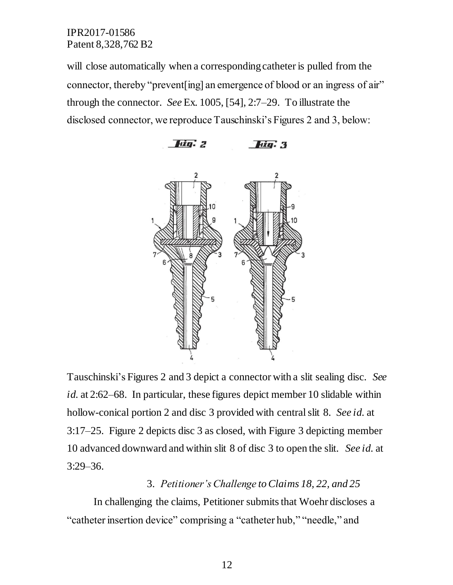will close automatically when a corresponding catheter is pulled from the connector, thereby "prevent[ing] an emergence of blood or an ingress of air" through the connector. *See* Ex. 1005, [54], 2:7–29. To illustrate the disclosed connector, we reproduce Tauschinski's Figures 2 and 3, below:



Tauschinski's Figures 2 and 3 depict a connector with a slit sealing disc. *See id.* at 2:62–68. In particular, these figures depict member 10 slidable within hollow-conical portion 2 and disc 3 provided with central slit 8. *See id.* at 3:17–25. Figure 2 depicts disc 3 as closed, with Figure 3 depicting member 10 advanced downward and within slit 8 of disc 3 to open the slit. *See id.* at 3:29–36.

#### 3. *Petitioner's Challenge to Claims 18, 22, and 25*

In challenging the claims, Petitioner submits that Woehr discloses a "catheter insertion device" comprising a "catheter hub," "needle," and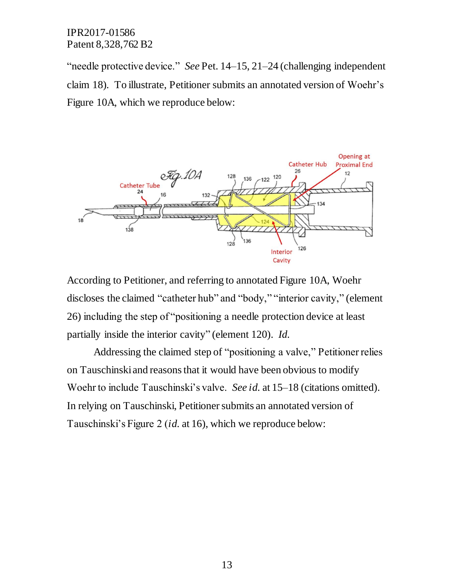"needle protective device." *See* Pet. 14–15, 21–24 (challenging independent claim 18)*.* To illustrate, Petitioner submits an annotated version of Woehr's Figure 10A, which we reproduce below:



According to Petitioner, and referring to annotated Figure 10A, Woehr discloses the claimed "catheter hub" and "body," "interior cavity," (element 26) including the step of "positioning a needle protection device at least partially inside the interior cavity" (element 120). *Id.*

Addressing the claimed step of "positioning a valve," Petitioner relies on Tauschinski and reasons that it would have been obvious to modify Woehr to include Tauschinski's valve. *See id.* at 15–18 (citations omitted). In relying on Tauschinski, Petitioner submits an annotated version of Tauschinski's Figure 2 (*id.* at 16), which we reproduce below: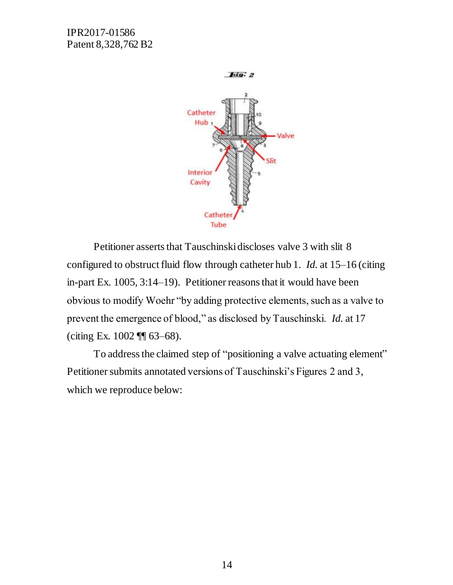

Petitioner asserts that Tauschinski discloses valve 3 with slit 8 configured to obstruct fluid flow through catheter hub 1. *Id.* at 15–16 (citing in-part Ex. 1005, 3:14–19). Petitioner reasons that it would have been obvious to modify Woehr "by adding protective elements, such as a valve to prevent the emergence of blood," as disclosed by Tauschinski. *Id.* at 17 (citing Ex. 1002 ¶¶ 63–68).

To address the claimed step of "positioning a valve actuating element" Petitioner submits annotated versions of Tauschinski's Figures 2 and 3, which we reproduce below: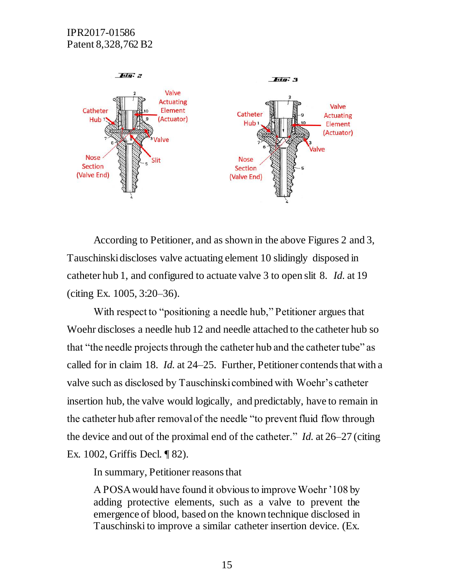

According to Petitioner, and as shown in the above Figures 2 and 3, Tauschinski discloses valve actuating element 10 slidingly disposed in catheter hub 1, and configured to actuate valve 3 to open slit 8. *Id.* at 19 (citing Ex. 1005, 3:20–36).

With respect to "positioning a needle hub," Petitioner argues that Woehr discloses a needle hub 12 and needle attached to the catheter hub so that "the needle projects through the catheter hub and the catheter tube" as called for in claim 18. *Id.* at 24–25. Further, Petitioner contends that with a valve such as disclosed by Tauschinski combined with Woehr's catheter insertion hub, the valve would logically, and predictably, have to remain in the catheter hub after removal of the needle "to prevent fluid flow through the device and out of the proximal end of the catheter." *Id.* at 26–27 (citing Ex. 1002, Griffis Decl. ¶ 82).

In summary, Petitioner reasons that

A POSA would have found it obvious to improve Woehr '108 by adding protective elements, such as a valve to prevent the emergence of blood, based on the known technique disclosed in Tauschinski to improve a similar catheter insertion device. (Ex.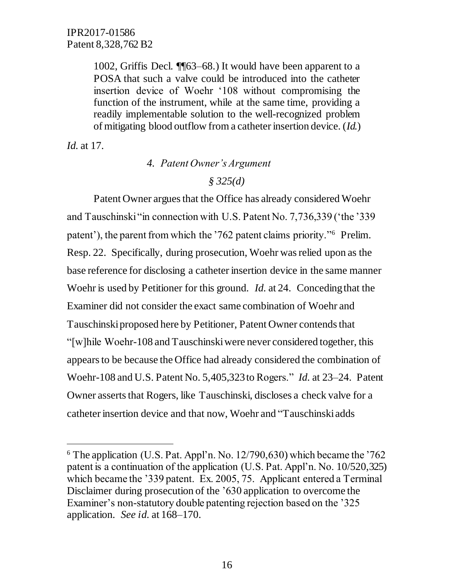1002, Griffis Decl. ¶¶63–68.) It would have been apparent to a POSA that such a valve could be introduced into the catheter insertion device of Woehr '108 without compromising the function of the instrument, while at the same time, providing a readily implementable solution to the well-recognized problem of mitigating blood outflow from a catheter insertion device. (*Id.*)

*Id.* at 17.

 $\overline{a}$ 

*4. Patent Owner's Argument*

*§ 325(d)*

Patent Owner argues that the Office has already considered Woehr and Tauschinski "in connection with U.S. Patent No. 7,736,339 ('the '339 patent'), the parent from which the '762 patent claims priority."<sup>6</sup> Prelim. Resp. 22. Specifically, during prosecution, Woehr was relied upon as the base reference for disclosing a catheter insertion device in the same manner Woehr is used by Petitioner for this ground. *Id.* at 24. Conceding that the Examiner did not consider the exact same combination of Woehr and Tauschinski proposed here by Petitioner, Patent Owner contends that "[w]hile Woehr-108 and Tauschinski were never considered together, this appears to be because the Office had already considered the combination of Woehr-108 and U.S. Patent No. 5,405,323 to Rogers." *Id.* at 23–24. Patent Owner asserts that Rogers, like Tauschinski, discloses a check valve for a catheter insertion device and that now, Woehr and "Tauschinski adds

 $6$  The application (U.S. Pat. Appl'n. No. 12/790,630) which became the '762 patent is a continuation of the application (U.S. Pat. Appl'n. No. 10/520,325) which became the '339 patent. Ex. 2005, 75. Applicant entered a Terminal Disclaimer during prosecution of the '630 application to overcome the Examiner's non-statutory double patenting rejection based on the '325 application. *See id.* at 168–170.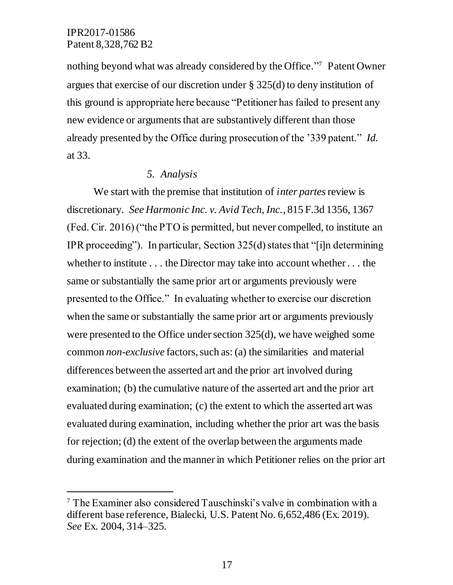$\overline{a}$ 

nothing beyond what was already considered by the Office." 7 Patent Owner argues that exercise of our discretion under § 325(d) to deny institution of this ground is appropriate here because "Petitioner has failed to present any new evidence or arguments that are substantively different than those already presented by the Office during prosecution of the '339 patent." *Id.* at 33.

#### *5. Analysis*

We start with the premise that institution of *inter partes*review is discretionary. *See Harmonic Inc. v. Avid Tech, Inc.*, 815 F.3d 1356, 1367 (Fed. Cir. 2016) ("the PTO is permitted, but never compelled, to institute an IPR proceeding"). In particular, Section 325(d) states that "[i]n determining whether to institute . . . the Director may take into account whether . . . the same or substantially the same prior art or arguments previously were presented to the Office." In evaluating whether to exercise our discretion when the same or substantially the same prior art or arguments previously were presented to the Office under section 325(d), we have weighed some common *non-exclusive* factors, such as:(a) the similarities and material differences between the asserted art and the prior art involved during examination; (b) the cumulative nature of the asserted art and the prior art evaluated during examination; (c) the extent to which the asserted art was evaluated during examination, including whether the prior art was the basis for rejection; (d) the extent of the overlap between the arguments made during examination and the manner in which Petitioner relies on the prior art

<sup>7</sup> The Examiner also considered Tauschinski's valve in combination with a different base reference, Bialecki, U.S. Patent No. 6,652,486 (Ex. 2019). *See* Ex. 2004, 314–325.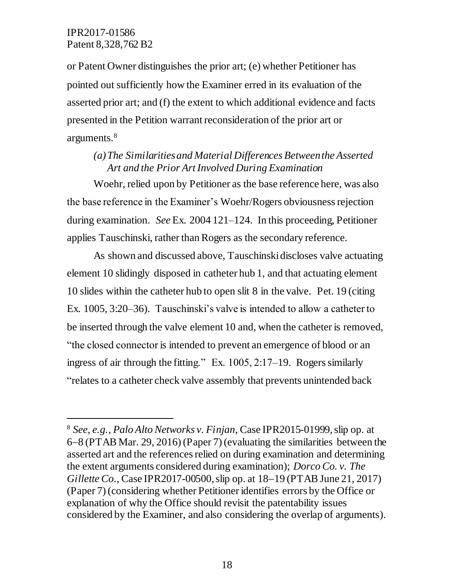$\overline{a}$ 

or Patent Owner distinguishes the prior art; (e) whether Petitioner has pointed out sufficiently how the Examiner erred in its evaluation of the asserted prior art; and (f) the extent to which additional evidence and facts presented in the Petition warrant reconsideration of the prior art or arguments.<sup>8</sup>

# *(a)The Similarities and Material Differences Between the Asserted Art and the Prior Art Involved During Examination*

Woehr, relied upon by Petitioner as the base reference here, was also the base reference in the Examiner's Woehr/Rogers obviousness rejection during examination. *See* Ex. 2004 121–124. In this proceeding, Petitioner applies Tauschinski, rather than Rogers as the secondary reference.

As shown and discussed above, Tauschinski discloses valve actuating element 10 slidingly disposed in catheter hub 1, and that actuating element 10 slides within the catheter hub to open slit 8 in the valve. Pet. 19 (citing Ex. 1005, 3:20–36). Tauschinski's valve is intended to allow a catheter to be inserted through the valve element 10 and, when the catheter is removed, "the closed connector is intended to prevent an emergence of blood or an ingress of air through the fitting." Ex.  $1005$ ,  $2:17-19$ . Rogers similarly "relates to a catheter check valve assembly that prevents unintended back

<sup>8</sup> *See, e.g.*, *Palo Alto Networks v. Finjan*, Case IPR2015-01999, slip op. at 68 (PTAB Mar. 29, 2016) (Paper 7) (evaluating the similarities between the asserted art and the references relied on during examination and determining the extent arguments considered during examination); *Dorco Co. v. The Gillette Co.*, Case IPR2017-00500, slip op. at 18–19 (PTAB June 21, 2017) (Paper 7) (considering whether Petitioner identifies errors by the Office or explanation of why the Office should revisit the patentability issues considered by the Examiner, and also considering the overlap of arguments).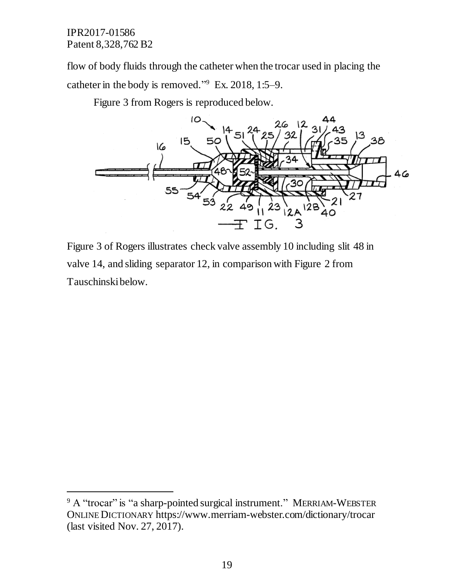$\overline{a}$ 

flow of body fluids through the catheter when the trocar used in placing the catheter in the body is removed." 9 Ex. 2018, 1:5–9.

Figure 3 from Rogers is reproduced below.



Figure 3 of Rogers illustrates check valve assembly 10 including slit 48 in valve 14, and sliding separator 12, in comparison with Figure 2 from Tauschinskibelow.

 $9$  A "trocar" is "a sharp-pointed surgical instrument." MERRIAM-WEBSTER ONLINE DICTIONARY https://www.merriam-webster.com/dictionary/trocar (last visited Nov. 27, 2017).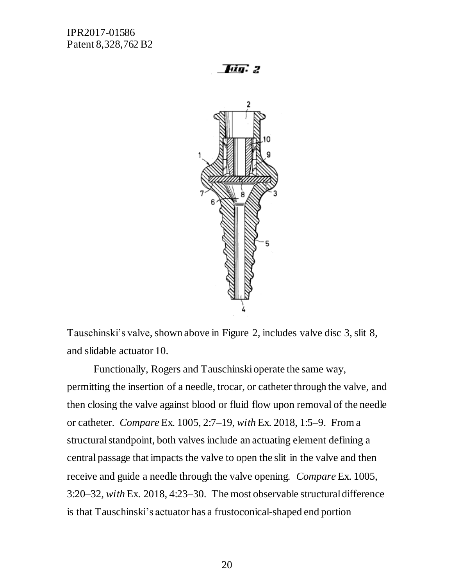**Hig.** 2



Tauschinski's valve, shown above in Figure 2, includes valve disc 3, slit 8, and slidable actuator 10.

Functionally, Rogers and Tauschinski operate the same way, permitting the insertion of a needle, trocar, or catheter through the valve, and then closing the valve against blood or fluid flow upon removal of the needle or catheter. *Compare* Ex. 1005, 2:7–19, *with* Ex. 2018, 1:5–9. From a structural standpoint, both valves include an actuating element defining a central passage that impacts the valve to open the slit in the valve and then receive and guide a needle through the valve opening. *Compare* Ex. 1005, 3:20–32, *with* Ex. 2018, 4:23–30. The most observable structural difference is that Tauschinski's actuator has a frustoconical-shaped end portion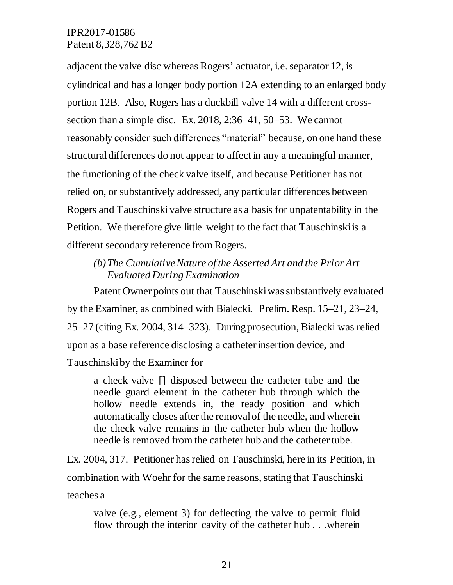adjacent the valve disc whereas Rogers' actuator, i.e. separator 12, is cylindrical and has a longer body portion 12A extending to an enlarged body portion 12B. Also, Rogers has a duckbill valve 14 with a different crosssection than a simple disc. Ex. 2018, 2:36–41, 50–53. We cannot reasonably consider such differences "material" because, on one hand these structural differences do not appear to affect in any a meaningful manner, the functioning of the check valve itself, and because Petitioner has not relied on, or substantively addressed, any particular differences between Rogers and Tauschinski valve structure as a basis for unpatentability in the Petition. We therefore give little weight to the fact that Tauschinski is a different secondary reference from Rogers.

## *(b)The Cumulative Nature of the Asserted Art and the Prior Art Evaluated During Examination*

Patent Owner points out that Tauschinski was substantively evaluated by the Examiner, as combined with Bialecki. Prelim. Resp. 15–21, 23–24, 25–27 (citing Ex. 2004, 314–323). During prosecution, Bialecki was relied upon as a base reference disclosing a catheter insertion device, and Tauschinskiby the Examiner for

a check valve [] disposed between the catheter tube and the needle guard element in the catheter hub through which the hollow needle extends in, the ready position and which automatically closes after the removal of the needle, and wherein the check valve remains in the catheter hub when the hollow needle is removed from the catheter hub and the catheter tube.

Ex. 2004, 317. Petitioner has relied on Tauschinski, here in its Petition, in combination with Woehr for the same reasons, stating that Tauschinski teaches a

valve (e.g., element 3) for deflecting the valve to permit fluid flow through the interior cavity of the catheter hub . . .wherein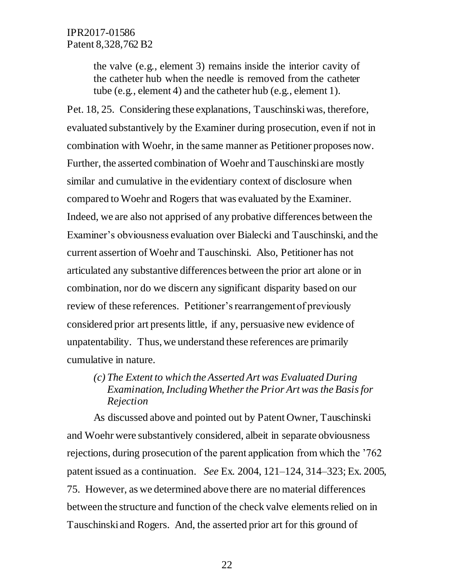the valve (e.g., element 3) remains inside the interior cavity of the catheter hub when the needle is removed from the catheter tube (e.g., element 4) and the catheter hub (e.g., element 1).

Pet. 18, 25. Considering these explanations, Tauschinski was, therefore, evaluated substantively by the Examiner during prosecution, even if not in combination with Woehr, in the same manner as Petitioner proposes now. Further, the asserted combination of Woehr and Tauschinski are mostly similar and cumulative in the evidentiary context of disclosure when compared to Woehr and Rogers that was evaluated by the Examiner. Indeed, we are also not apprised of any probative differences between the Examiner's obviousness evaluation over Bialecki and Tauschinski, and the current assertion of Woehr and Tauschinski. Also, Petitioner has not articulated any substantive differences between the prior art alone or in combination, nor do we discern any significant disparity based on our review of these references. Petitioner's rearrangement of previously considered prior art presents little, if any, persuasive new evidence of unpatentability. Thus, we understand these references are primarily cumulative in nature.

# *(c) The Extent to which the Asserted Art was Evaluated During Examination, Including Whether the Prior Art was the Basis for Rejection*

As discussed above and pointed out by Patent Owner, Tauschinski and Woehr were substantively considered, albeit in separate obviousness rejections, during prosecution of the parent application from which the '762 patent issued as a continuation. *See* Ex. 2004, 121–124, 314–323; Ex. 2005, 75. However, as we determined above there are no material differences between the structure and function of the check valve elements relied on in Tauschinski and Rogers. And, the asserted prior art for this ground of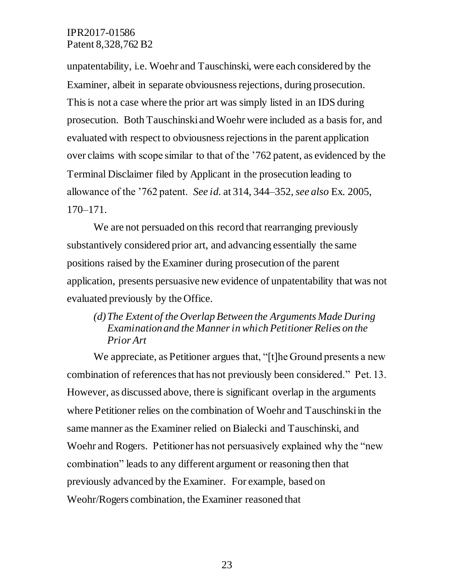unpatentability, i.e. Woehr and Tauschinski, were each considered by the Examiner, albeit in separate obviousness rejections, during prosecution. This is not a case where the prior art was simply listed in an IDS during prosecution. Both Tauschinski and Woehr were included as a basis for, and evaluated with respect to obviousness rejectionsin the parent application over claims with scope similar to that of the '762 patent, as evidenced by the Terminal Disclaimer filed by Applicant in the prosecution leading to allowance of the '762 patent. *See id.* at 314, 344–352, *see also* Ex. 2005, 170–171.

We are not persuaded on this record that rearranging previously substantively considered prior art, and advancing essentially the same positions raised by the Examiner during prosecution of the parent application, presents persuasive new evidence of unpatentability that was not evaluated previously by the Office.

# *(d)The Extent of the Overlap Between the Arguments Made During Examination and the Manner in which Petitioner Relies on the Prior Art*

We appreciate, as Petitioner argues that, "[t]he Ground presents a new combination of references that has not previously been considered." Pet. 13. However, as discussed above, there is significant overlap in the arguments where Petitioner relies on the combination of Woehr and Tauschinski in the same manner as the Examiner relied on Bialecki and Tauschinski, and Woehr and Rogers. Petitioner has not persuasively explained why the "new combination" leads to any different argument or reasoning then that previously advanced by the Examiner. For example, based on Weohr/Rogers combination, the Examiner reasoned that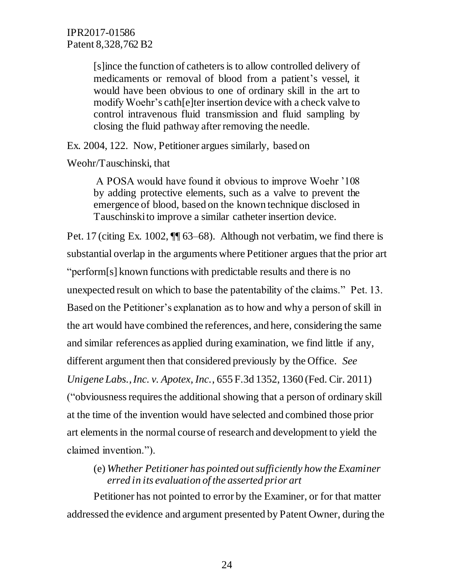[s]ince the function of catheters is to allow controlled delivery of medicaments or removal of blood from a patient's vessel, it would have been obvious to one of ordinary skill in the art to modify Woehr's cath[e]ter insertion device with a check valve to control intravenous fluid transmission and fluid sampling by closing the fluid pathway after removing the needle.

Ex. 2004, 122. Now, Petitioner argues similarly, based on

Weohr/Tauschinski, that

A POSA would have found it obvious to improve Woehr '108 by adding protective elements, such as a valve to prevent the emergence of blood, based on the known technique disclosed in Tauschinski to improve a similar catheter insertion device.

Pet. 17 (citing Ex. 1002, ¶¶ 63–68). Although not verbatim, we find there is substantial overlap in the arguments where Petitioner argues that the prior art "perform[s] known functions with predictable results and there is no unexpected result on which to base the patentability of the claims." Pet. 13. Based on the Petitioner's explanation as to how and why a person of skill in the art would have combined the references, and here, considering the same and similar references as applied during examination, we find little if any, different argument then that considered previously by the Office. *See Unigene Labs., Inc. v. Apotex, Inc.*, 655 F.3d 1352, 1360 (Fed. Cir. 2011) ("obviousness requires the additional showing that a person of ordinary skill at the time of the invention would have selected and combined those prior art elements in the normal course of research and development to yield the claimed invention.").

(e) *Whether Petitioner has pointed out sufficiently how the Examiner erred in its evaluation of the asserted prior art*

Petitioner has not pointed to error by the Examiner, or for that matter addressed the evidence and argument presented by Patent Owner, during the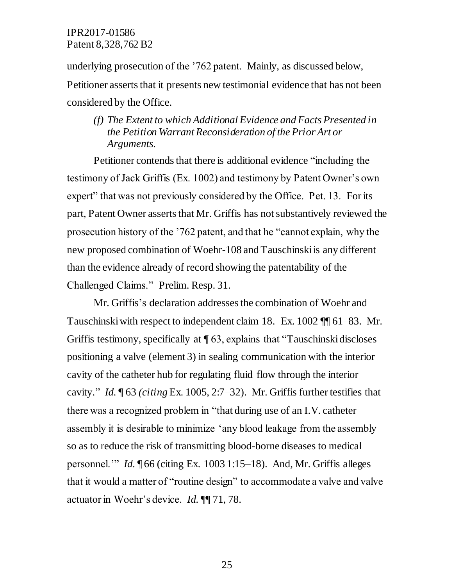underlying prosecution of the '762 patent. Mainly, as discussed below, Petitioner asserts that it presents new testimonial evidence that has not been considered by the Office.

## *(f) The Extent to which Additional Evidence and Facts Presented in the Petition Warrant Reconsideration of the Prior Art or Arguments.*

Petitioner contends that there is additional evidence "including the testimony of Jack Griffis (Ex. 1002) and testimony by Patent Owner's own expert" that was not previously considered by the Office. Pet. 13. For its part, Patent Owner asserts that Mr. Griffis has not substantively reviewed the prosecution history of the '762 patent, and that he "cannot explain, why the new proposed combination of Woehr-108 and Tauschinski is any different than the evidence already of record showing the patentability of the Challenged Claims." Prelim. Resp. 31.

Mr. Griffis's declaration addresses the combination of Woehr and Tauschinski with respect to independent claim 18. Ex. 1002 ¶¶ 61–83. Mr. Griffis testimony, specifically at ¶ 63, explains that "Tauschinski discloses positioning a valve (element 3) in sealing communication with the interior cavity of the catheter hub for regulating fluid flow through the interior cavity." *Id.* ¶ 63 *(citing* Ex. 1005, 2:7–32). Mr. Griffis further testifies that there was a recognized problem in "that during use of an I.V. catheter assembly it is desirable to minimize 'any blood leakage from the assembly so as to reduce the risk of transmitting blood-borne diseases to medical personnel.'" *Id.* ¶ 66 (citing Ex. 1003 1:15–18). And, Mr. Griffis alleges that it would a matter of "routine design" to accommodate a valve and valve actuator in Woehr's device. *Id.* ¶¶ 71, 78.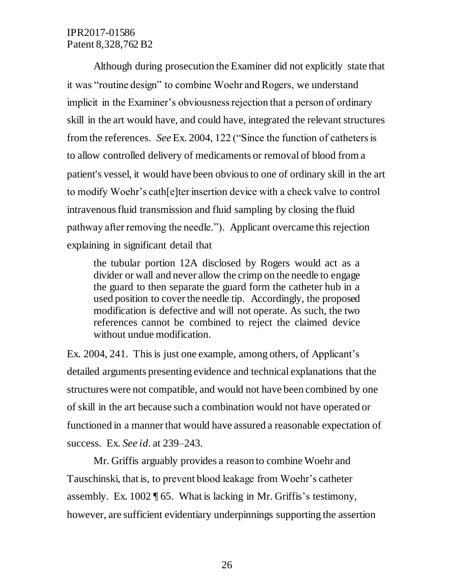Although during prosecution the Examiner did not explicitly state that it was "routine design" to combine Woehr and Rogers, we understand implicit in the Examiner's obviousness rejection that a person of ordinary skill in the art would have, and could have, integrated the relevant structures from the references. *See* Ex. 2004, 122 ("Since the function of catheters is to allow controlled delivery of medicaments or removal of blood from a patient's vessel, it would have been obvious to one of ordinary skill in the art to modify Woehr's cath[e]ter insertion device with a check valve to control intravenous fluid transmission and fluid sampling by closing the fluid pathway after removing the needle."). Applicant overcame this rejection explaining in significant detail that

the tubular portion 12A disclosed by Rogers would act as a divider or wall and never allow the crimp on the needle to engage the guard to then separate the guard form the catheter hub in a used position to cover the needle tip. Accordingly, the proposed modification is defective and will not operate. As such, the two references cannot be combined to reject the claimed device without undue modification.

Ex. 2004, 241. This is just one example, among others, of Applicant's detailed arguments presenting evidence and technical explanations that the structures were not compatible, and would not have been combined by one of skill in the art because such a combination would not have operated or functioned in a manner that would have assured a reasonable expectation of success. Ex. *See id*. at 239–243.

Mr. Griffis arguably provides a reason to combine Woehr and Tauschinski, that is, to prevent blood leakage from Woehr's catheter assembly. Ex. 1002 ¶ 65. What is lacking in Mr. Griffis's testimony, however, are sufficient evidentiary underpinnings supporting the assertion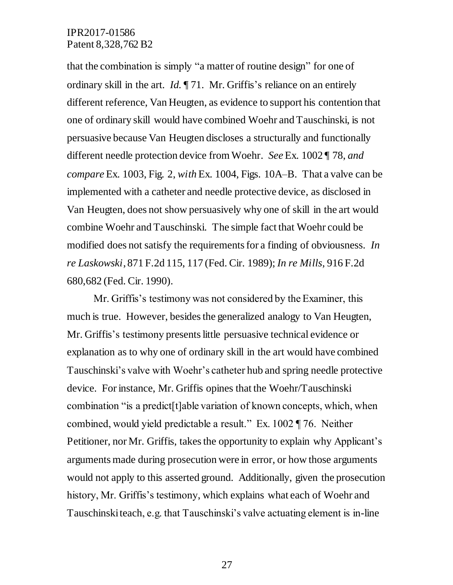that the combination is simply "a matter of routine design" for one of ordinary skill in the art. *Id.* ¶ 71. Mr. Griffis's reliance on an entirely different reference, Van Heugten, as evidence to support his contention that one of ordinary skill would have combined Woehr and Tauschinski, is not persuasive because Van Heugten discloses a structurally and functionally different needle protection device from Woehr. *See* Ex. 1002 ¶ 78, *and compare* Ex. 1003, Fig. 2, *with* Ex. 1004, Figs. 10A–B. That a valve can be implemented with a catheter and needle protective device, as disclosed in Van Heugten, does not show persuasively why one of skill in the art would combine Woehr and Tauschinski. The simple fact that Woehr could be modified does not satisfy the requirements for a finding of obviousness. *In re Laskowski*, 871 F.2d 115, 117 (Fed. Cir. 1989); *In re Mills*, 916 F.2d 680,682 (Fed. Cir. 1990).

Mr. Griffis's testimony was not considered by the Examiner, this much is true. However, besides the generalized analogy to Van Heugten, Mr. Griffis's testimony presents little persuasive technical evidence or explanation as to why one of ordinary skill in the art would have combined Tauschinski's valve with Woehr's catheter hub and spring needle protective device. For instance, Mr. Griffis opines that the Woehr/Tauschinski combination "is a predict[t]able variation of known concepts, which, when combined, would yield predictable a result." Ex. 1002 ¶ 76. Neither Petitioner, nor Mr. Griffis, takes the opportunity to explain why Applicant's arguments made during prosecution were in error, or how those arguments would not apply to this asserted ground. Additionally, given the prosecution history, Mr. Griffis's testimony, which explains what each of Woehr and Tauschinski teach, e.g. that Tauschinski's valve actuating element is in-line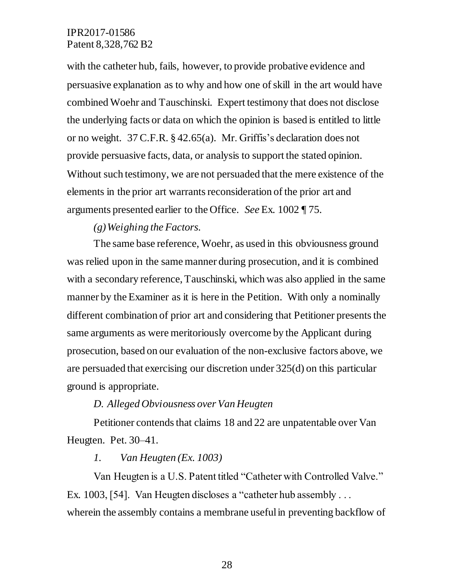with the catheter hub, fails, however, to provide probative evidence and persuasive explanation as to why and how one of skill in the art would have combined Woehr and Tauschinski. Expert testimony that does not disclose the underlying facts or data on which the opinion is based is entitled to little or no weight. 37 C.F.R. § 42.65(a). Mr. Griffis's declaration does not provide persuasive facts, data, or analysis to support the stated opinion. Without such testimony, we are not persuaded that the mere existence of the elements in the prior art warrants reconsideration of the prior art and arguments presented earlier to the Office. *See* Ex. 1002 ¶ 75.

#### *(g)Weighing the Factors.*

The same base reference, Woehr, as used in this obviousness ground was relied upon in the same manner during prosecution, and it is combined with a secondary reference, Tauschinski, which was also applied in the same manner by the Examiner as it is here in the Petition. With only a nominally different combination of prior art and considering that Petitioner presents the same arguments as were meritoriously overcome by the Applicant during prosecution, based on our evaluation of the non-exclusive factors above, we are persuaded that exercising our discretion under 325(d) on this particular ground is appropriate.

#### *D. Alleged Obviousness over Van Heugten*

Petitioner contends that claims 18 and 22 are unpatentable over Van Heugten. Pet. 30–41.

#### *1. Van Heugten (Ex. 1003)*

Van Heugten is a U.S. Patent titled "Catheter with Controlled Valve." Ex. 1003, [54]. Van Heugten discloses a "catheter hub assembly . . . wherein the assembly contains a membrane useful in preventing backflow of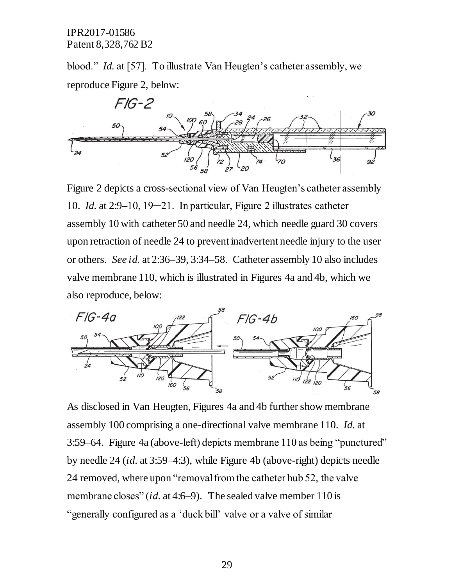blood." *Id.* at [57]. To illustrate Van Heugten's catheter assembly, we reproduce Figure 2, below:



Figure 2 depicts a cross-sectional view of Van Heugten's catheter assembly 10. *Id.* at 2:9–10, 19─21. In particular, Figure 2 illustrates catheter assembly 10 with catheter 50 and needle 24, which needle guard 30 covers upon retraction of needle 24 to prevent inadvertent needle injury to the user or others. *See id.* at 2:36–39, 3:34–58. Catheter assembly 10 also includes valve membrane 110, which is illustrated in Figures 4a and 4b, which we also reproduce, below:



As disclosed in Van Heugten, Figures 4a and 4b further show membrane assembly 100 comprising a one-directional valve membrane 110. *Id.* at 3:59–64. Figure 4a (above-left) depicts membrane 110 as being "punctured" by needle 24 (*id.* at 3:59–4:3), while Figure 4b (above-right) depicts needle 24 removed, where upon "removal from the catheter hub 52, the valve membrane closes" (*id.* at 4:6–9). The sealed valve member 110 is "generally configured as a 'duck bill' valve or a valve of similar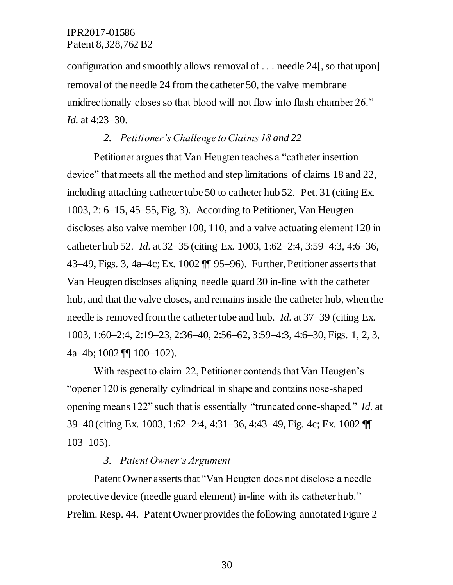configuration and smoothly allows removal of . . . needle 24[, so that upon] removal of the needle 24 from the catheter 50, the valve membrane unidirectionally closes so that blood will not flow into flash chamber 26." *Id.* at 4:23–30.

#### *2. Petitioner's Challenge to Claims 18 and 22*

Petitioner argues that Van Heugten teaches a "catheter insertion device" that meets all the method and step limitations of claims 18 and 22, including attaching catheter tube 50 to catheter hub 52. Pet. 31 (citing Ex. 1003, 2: 6–15, 45–55, Fig. 3). According to Petitioner, Van Heugten discloses also valve member 100, 110, and a valve actuating element 120 in catheter hub 52. *Id.* at 32–35 (citing Ex. 1003, 1:62–2:4, 3:59–4:3, 4:6–36, 43–49, Figs. 3, 4a–4c; Ex. 1002 ¶¶ 95–96). Further, Petitioner asserts that Van Heugten discloses aligning needle guard 30 in-line with the catheter hub, and that the valve closes, and remains inside the catheter hub, when the needle is removed from the catheter tube and hub. *Id.* at 37–39 (citing Ex. 1003, 1:60–2:4, 2:19–23, 2:36–40, 2:56–62, 3:59–4:3, 4:6–30, Figs. 1, 2, 3, 4a–4b; 1002 ¶¶ 100–102).

With respect to claim 22, Petitioner contends that Van Heugten's "opener 120 is generally cylindrical in shape and contains nose-shaped opening means 122" such that is essentially "truncated cone-shaped." *Id.* at 39–40 (citing Ex. 1003, 1:62–2:4, 4:31–36, 4:43–49, Fig. 4c; Ex. 1002 ¶¶  $103-105$ ).

## *3. Patent Owner's Argument*

Patent Owner asserts that "Van Heugten does not disclose a needle protective device (needle guard element) in-line with its catheter hub." Prelim. Resp. 44. Patent Owner provides the following annotated Figure 2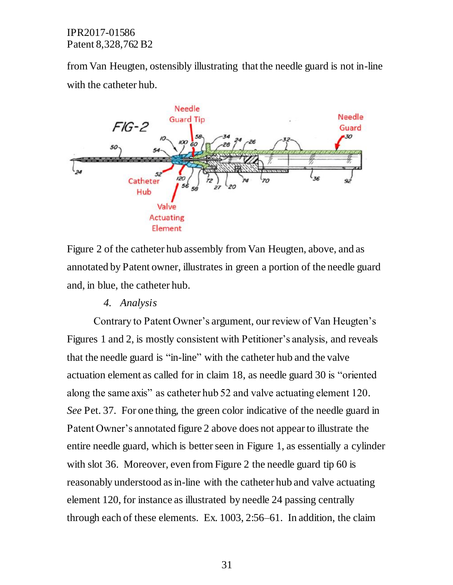from Van Heugten, ostensibly illustrating that the needle guard is not in-line with the catheter hub.



Figure 2 of the catheter hub assembly from Van Heugten, above, and as annotated by Patent owner, illustrates in green a portion of the needle guard and, in blue, the catheter hub.

*4. Analysis*

Contrary to Patent Owner's argument, our review of Van Heugten's Figures 1 and 2, is mostly consistent with Petitioner's analysis, and reveals that the needle guard is "in-line" with the catheter hub and the valve actuation element as called for in claim 18, as needle guard 30 is "oriented along the same axis" as catheter hub 52 and valve actuating element 120. *See* Pet. 37. For one thing, the green color indicative of the needle guard in Patent Owner's annotated figure 2 above does not appear to illustrate the entire needle guard, which is better seen in Figure 1, as essentially a cylinder with slot 36. Moreover, even from Figure 2 the needle guard tip 60 is reasonably understood as in-line with the catheter hub and valve actuating element 120, for instance as illustrated by needle 24 passing centrally through each of these elements. Ex. 1003, 2:56–61. In addition, the claim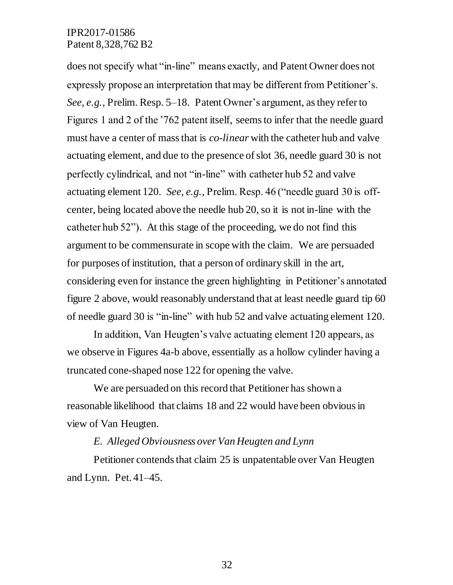does not specify what "in-line" means exactly, and Patent Owner does not expressly propose an interpretation that may be different from Petitioner's. *See, e.g.,* Prelim. Resp. 5–18. Patent Owner's argument, as they refer to Figures 1 and 2 of the '762 patent itself, seems to infer that the needle guard must have a center of mass that is *co-linear* with the catheter hub and valve actuating element, and due to the presence of slot 36, needle guard 30 is not perfectly cylindrical, and not "in-line" with catheter hub 52 and valve actuating element 120. *See, e.g.,* Prelim. Resp. 46 ("needle guard 30 is offcenter, being located above the needle hub 20, so it is not in-line with the catheter hub 52"). At this stage of the proceeding, we do not find this argument to be commensurate in scope with the claim. We are persuaded for purposes of institution, that a person of ordinary skill in the art, considering even for instance the green highlighting in Petitioner's annotated figure 2 above, would reasonably understand that at least needle guard tip 60 of needle guard 30 is "in-line" with hub 52 and valve actuating element 120.

In addition, Van Heugten's valve actuating element 120 appears, as we observe in Figures 4a-b above, essentially as a hollow cylinder having a truncated cone-shaped nose 122 for opening the valve.

We are persuaded on this record that Petitioner has shown a reasonable likelihood that claims 18 and 22 would have been obvious in view of Van Heugten.

#### *E. Alleged Obviousness over Van Heugten and Lynn*

Petitioner contends that claim 25 is unpatentable over Van Heugten and Lynn. Pet. 41–45.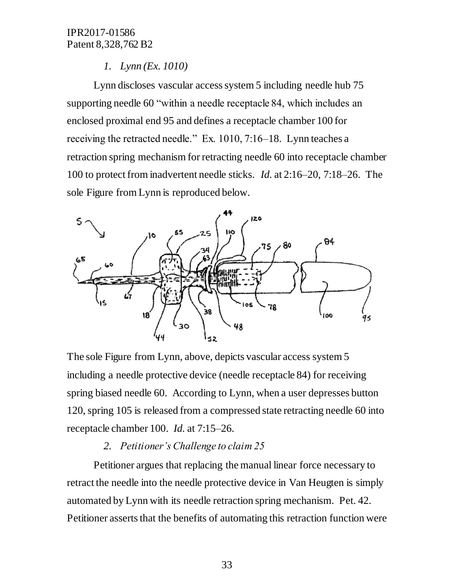### *1. Lynn (Ex. 1010)*

Lynn discloses vascular access system 5 including needle hub 75 supporting needle 60 "within a needle receptacle 84, which includes an enclosed proximal end 95 and defines a receptacle chamber 100 for receiving the retracted needle." Ex. 1010, 7:16–18. Lynn teaches a retraction spring mechanism for retracting needle 60 into receptacle chamber 100 to protect from inadvertent needle sticks. *Id.* at 2:16–20, 7:18–26. The sole Figure from Lynn is reproduced below.



The sole Figure from Lynn, above, depicts vascular access system 5 including a needle protective device (needle receptacle 84) for receiving spring biased needle 60. According to Lynn, when a user depresses button 120, spring 105 is released from a compressed state retracting needle 60 into receptacle chamber 100. *Id.* at 7:15–26.

# *2. Petitioner's Challenge to claim 25*

Petitioner argues that replacing the manual linear force necessary to retract the needle into the needle protective device in Van Heugten is simply automated by Lynn with its needle retraction spring mechanism. Pet. 42. Petitioner asserts that the benefits of automating this retraction function were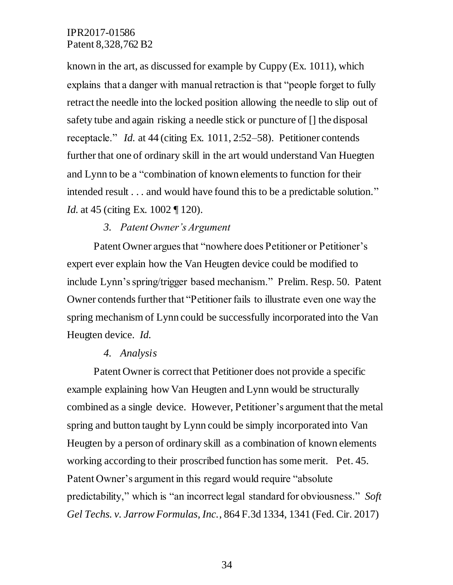known in the art, as discussed for example by Cuppy (Ex. 1011), which explains that a danger with manual retraction is that "people forget to fully retract the needle into the locked position allowing the needle to slip out of safety tube and again risking a needle stick or puncture of [] the disposal receptacle." *Id.* at 44 (citing Ex. 1011, 2:52–58). Petitioner contends further that one of ordinary skill in the art would understand Van Huegten and Lynn to be a "combination of known elements to function for their intended result . . . and would have found this to be a predictable solution." *Id.* at 45 (citing Ex. 1002 ¶ 120).

## *3. Patent Owner's Argument*

Patent Owner argues that "nowhere does Petitioner or Petitioner's expert ever explain how the Van Heugten device could be modified to include Lynn's spring/trigger based mechanism." Prelim. Resp. 50. Patent Owner contends further that "Petitioner fails to illustrate even one way the spring mechanism of Lynn could be successfully incorporated into the Van Heugten device. *Id.*

#### *4. Analysis*

Patent Owner is correct that Petitioner does not provide a specific example explaining how Van Heugten and Lynn would be structurally combined as a single device. However, Petitioner's argument that the metal spring and button taught by Lynn could be simply incorporated into Van Heugten by a person of ordinary skill as a combination of known elements working according to their proscribed function has some merit. Pet. 45. Patent Owner's argument in this regard would require "absolute predictability," which is "an incorrect legal standard for obviousness." *Soft Gel Techs. v. Jarrow Formulas, Inc.*, 864 F.3d 1334, 1341 (Fed. Cir. 2017)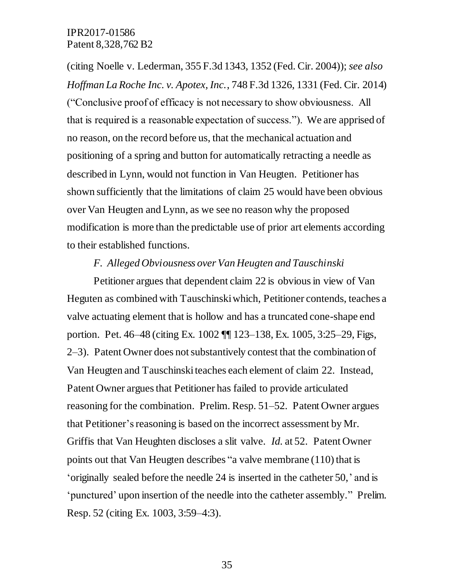(citing Noelle v. Lederman, 355 F.3d 1343, 1352 (Fed. Cir. 2004)); *see also Hoffman La Roche Inc. v. Apotex, Inc.*, 748 F.3d 1326, 1331 (Fed. Cir. 2014) ("Conclusive proof of efficacy is not necessary to show obviousness. All that is required is a reasonable expectation of success."). We are apprised of no reason, on the record before us, that the mechanical actuation and positioning of a spring and button for automatically retracting a needle as described in Lynn, would not function in Van Heugten. Petitioner has shown sufficiently that the limitations of claim 25 would have been obvious over Van Heugten and Lynn, as we see no reason why the proposed modification is more than the predictable use of prior art elements according to their established functions.

#### *F. Alleged Obviousness over Van Heugten and Tauschinski*

Petitioner argues that dependent claim 22 is obvious in view of Van Heguten as combined with Tauschinski which, Petitioner contends, teaches a valve actuating element that is hollow and has a truncated cone-shape end portion. Pet. 46–48 (citing Ex. 1002 ¶¶ 123–138, Ex. 1005, 3:25–29, Figs, 2–3). Patent Owner does not substantively contest that the combination of Van Heugten and Tauschinskiteaches each element of claim 22. Instead, Patent Owner argues that Petitioner has failed to provide articulated reasoning for the combination. Prelim. Resp. 51–52. Patent Owner argues that Petitioner's reasoning is based on the incorrect assessment by Mr. Griffis that Van Heughten discloses a slit valve. *Id.* at 52. Patent Owner points out that Van Heugten describes "a valve membrane (110) that is 'originally sealed before the needle 24 is inserted in the catheter 50,' and is 'punctured' upon insertion of the needle into the catheter assembly." Prelim. Resp. 52 (citing Ex. 1003, 3:59–4:3).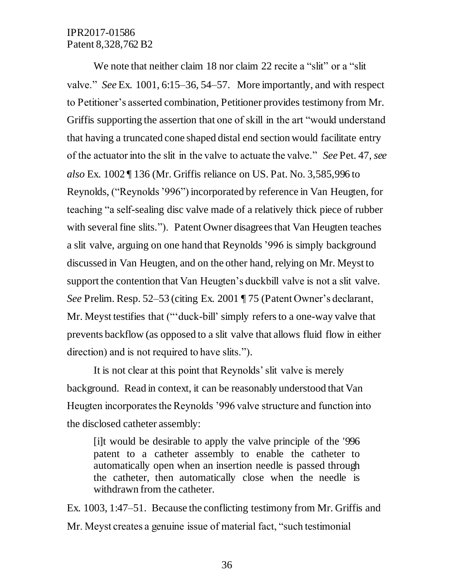We note that neither claim 18 nor claim 22 recite a "slit" or a "slit" valve." *See* Ex. 1001, 6:15–36, 54–57. More importantly, and with respect to Petitioner's asserted combination, Petitioner provides testimony from Mr. Griffis supporting the assertion that one of skill in the art "would understand that having a truncated cone shaped distal end section would facilitate entry of the actuator into the slit in the valve to actuate the valve." *See* Pet. 47, *see also* Ex. 1002 ¶ 136 (Mr. Griffis reliance on US. Pat. No. 3,585,996 to Reynolds, ("Reynolds '996") incorporated by reference in Van Heugten, for teaching "a self-sealing disc valve made of a relatively thick piece of rubber with several fine slits."). Patent Owner disagrees that Van Heugten teaches a slit valve, arguing on one hand that Reynolds'996 is simply background discussed in Van Heugten, and on the other hand, relying on Mr. Meyst to support the contention that Van Heugten's duckbill valve is not a slit valve. *See* Prelim. Resp. 52–53 (citing Ex. 2001 ¶ 75 (Patent Owner's declarant, Mr. Meyst testifies that ("'duck-bill' simply refers to a one-way valve that prevents backflow (as opposed to a slit valve that allows fluid flow in either direction) and is not required to have slits.").

It is not clear at this point that Reynolds' slit valve is merely background. Read in context, it can be reasonably understood that Van Heugten incorporates the Reynolds '996 valve structure and function into the disclosed catheter assembly:

[i]t would be desirable to apply the valve principle of the '996 patent to a catheter assembly to enable the catheter to automatically open when an insertion needle is passed through the catheter, then automatically close when the needle is withdrawn from the catheter.

Ex. 1003, 1:47–51. Because the conflicting testimony from Mr. Griffis and Mr. Meyst creates a genuine issue of material fact, "such testimonial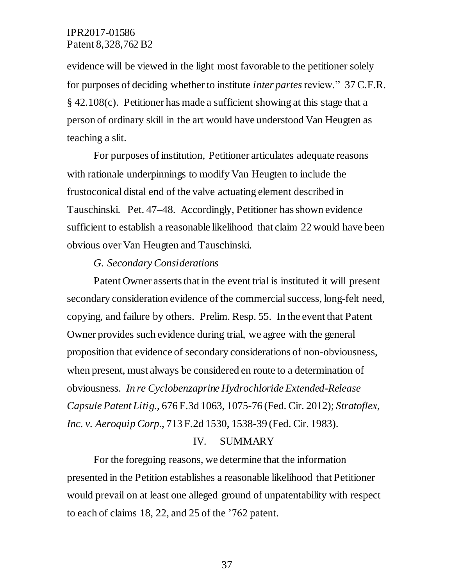evidence will be viewed in the light most favorable to the petitioner solely for purposes of deciding whether to institute *inter partes* review." 37 C.F.R. § 42.108(c). Petitioner has made a sufficient showing at this stage that a person of ordinary skill in the art would have understood Van Heugten as teaching a slit.

For purposes of institution, Petitioner articulates adequate reasons with rationale underpinnings to modify Van Heugten to include the frustoconical distal end of the valve actuating element described in Tauschinski. Pet. 47–48. Accordingly, Petitioner has shown evidence sufficient to establish a reasonable likelihood that claim 22 would have been obvious over Van Heugten and Tauschinski.

#### *G. Secondary Considerations*

Patent Owner asserts that in the event trial is instituted it will present secondary consideration evidence of the commercial success, long-felt need, copying, and failure by others. Prelim. Resp. 55. In the event that Patent Owner provides such evidence during trial, we agree with the general proposition that evidence of secondary considerations of non-obviousness, when present, must always be considered en route to a determination of obviousness. *In re Cyclobenzaprine Hydrochloride Extended-Release Capsule Patent Litig.*, 676 F.3d 1063, 1075-76 (Fed. Cir. 2012); *Stratoflex, Inc. v. Aeroquip Corp.*, 713 F.2d 1530, 1538-39 (Fed. Cir. 1983).

#### IV. SUMMARY

For the foregoing reasons, we determine that the information presented in the Petition establishes a reasonable likelihood that Petitioner would prevail on at least one alleged ground of unpatentability with respect to each of claims 18, 22, and 25 of the '762 patent.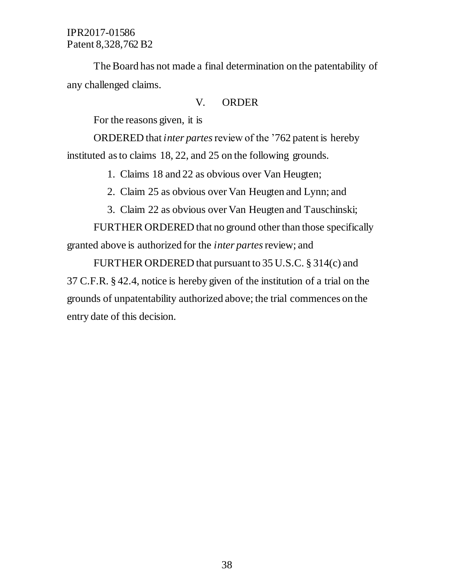The Board has not made a final determination on the patentability of any challenged claims.

#### V. ORDER

For the reasons given, it is

ORDERED that *inter partes*review of the '762 patent is hereby instituted as to claims 18, 22, and 25 on the following grounds.

1. Claims 18 and 22 as obvious over Van Heugten;

2. Claim 25 as obvious over Van Heugten and Lynn; and

3. Claim 22 as obvious over Van Heugten and Tauschinski;

FURTHER ORDERED that no ground other than those specifically granted above is authorized for the *inter partes*review; and

FURTHER ORDERED that pursuant to 35 U.S.C. § 314(c) and 37 C.F.R. § 42.4, notice is hereby given of the institution of a trial on the grounds of unpatentability authorized above; the trial commences on the entry date of this decision.